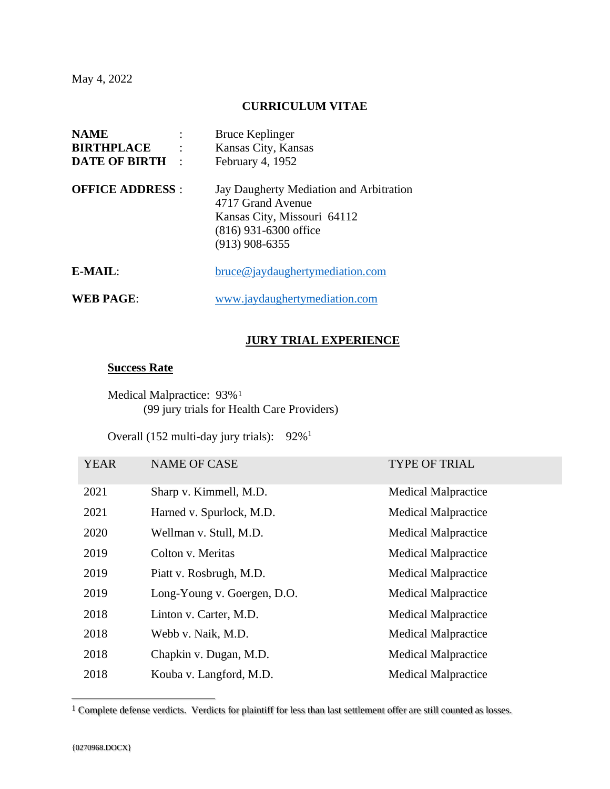May 4, 2022

## **CURRICULUM VITAE**

| <b>NAME</b>             | <b>Bruce Keplinger</b>                                                                                                                     |
|-------------------------|--------------------------------------------------------------------------------------------------------------------------------------------|
| <b>BIRTHPLACE</b>       | Kansas City, Kansas                                                                                                                        |
| <b>DATE OF BIRTH :</b>  | February 4, 1952                                                                                                                           |
| <b>OFFICE ADDRESS:</b>  | Jay Daugherty Mediation and Arbitration<br>4717 Grand Avenue<br>Kansas City, Missouri 64112<br>$(816)$ 931-6300 office<br>$(913)$ 908-6355 |
| $E\text{-}\text{MAIL}:$ | bruce@jaydaughertymediation.com                                                                                                            |
| <b>WEB PAGE:</b>        | www.jaydaughertymediation.com                                                                                                              |

### **JURY TRIAL EXPERIENCE**

### **Success Rate**

Medical Malpractice: 93%<sup>1</sup> (99 jury trials for Health Care Providers)

Overall (152 multi-day jury trials): 92%<sup>1</sup>

| <b>YEAR</b> | <b>NAME OF CASE</b>         | <b>TYPE OF TRIAL</b>       |
|-------------|-----------------------------|----------------------------|
| 2021        | Sharp v. Kimmell, M.D.      | <b>Medical Malpractice</b> |
| 2021        | Harned v. Spurlock, M.D.    | <b>Medical Malpractice</b> |
| 2020        | Wellman v. Stull, M.D.      | <b>Medical Malpractice</b> |
| 2019        | Colton v. Meritas           | <b>Medical Malpractice</b> |
| 2019        | Piatt v. Rosbrugh, M.D.     | <b>Medical Malpractice</b> |
| 2019        | Long-Young v. Goergen, D.O. | <b>Medical Malpractice</b> |
| 2018        | Linton v. Carter, M.D.      | <b>Medical Malpractice</b> |
| 2018        | Webb v. Naik, M.D.          | <b>Medical Malpractice</b> |
| 2018        | Chapkin v. Dugan, M.D.      | <b>Medical Malpractice</b> |
| 2018        | Kouba v. Langford, M.D.     | <b>Medical Malpractice</b> |

<sup>1</sup> Complete defense verdicts. Verdicts for plaintiff for less than last settlement offer are still counted as losses.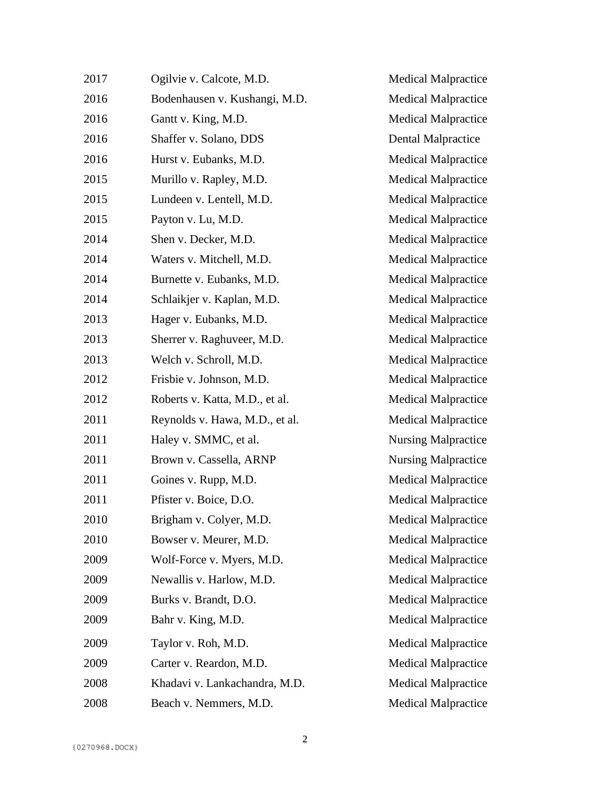| 2017 | Ogilvie v. Calcote, M.D.       | <b>Medical Malpractice</b> |
|------|--------------------------------|----------------------------|
| 2016 | Bodenhausen v. Kushangi, M.D.  | <b>Medical Malpractice</b> |
| 2016 | Gantt v. King, M.D.            | <b>Medical Malpractice</b> |
| 2016 | Shaffer v. Solano, DDS         | <b>Dental Malpractice</b>  |
| 2016 | Hurst v. Eubanks, M.D.         | <b>Medical Malpractice</b> |
| 2015 | Murillo v. Rapley, M.D.        | <b>Medical Malpractice</b> |
| 2015 | Lundeen v. Lentell, M.D.       | <b>Medical Malpractice</b> |
| 2015 | Payton v. Lu, M.D.             | <b>Medical Malpractice</b> |
| 2014 | Shen v. Decker, M.D.           | <b>Medical Malpractice</b> |
| 2014 | Waters v. Mitchell, M.D.       | <b>Medical Malpractice</b> |
| 2014 | Burnette v. Eubanks, M.D.      | <b>Medical Malpractice</b> |
| 2014 | Schlaikjer v. Kaplan, M.D.     | <b>Medical Malpractice</b> |
| 2013 | Hager v. Eubanks, M.D.         | <b>Medical Malpractice</b> |
| 2013 | Sherrer v. Raghuveer, M.D.     | <b>Medical Malpractice</b> |
| 2013 | Welch v. Schroll, M.D.         | <b>Medical Malpractice</b> |
| 2012 | Frisbie v. Johnson, M.D.       | <b>Medical Malpractice</b> |
| 2012 | Roberts v. Katta, M.D., et al. | <b>Medical Malpractice</b> |
| 2011 | Reynolds v. Hawa, M.D., et al. | <b>Medical Malpractice</b> |
| 2011 | Haley v. SMMC, et al.          | <b>Nursing Malpractice</b> |
| 2011 | Brown v. Cassella, ARNP        | <b>Nursing Malpractice</b> |
| 2011 | Goines v. Rupp, M.D.           | <b>Medical Malpractice</b> |
| 2011 | Pfister v. Boice, D.O.         | <b>Medical Malpractice</b> |
| 2010 | Brigham v. Colyer, M.D.        | <b>Medical Malpractice</b> |
| 2010 | Bowser v. Meurer, M.D.         | <b>Medical Malpractice</b> |
| 2009 | Wolf-Force v. Myers, M.D.      | <b>Medical Malpractice</b> |
| 2009 | Newallis v. Harlow, M.D.       | <b>Medical Malpractice</b> |
| 2009 | Burks v. Brandt, D.O.          | <b>Medical Malpractice</b> |
| 2009 | Bahr v. King, M.D.             | <b>Medical Malpractice</b> |
| 2009 | Taylor v. Roh, M.D.            | <b>Medical Malpractice</b> |
| 2009 | Carter v. Reardon, M.D.        | <b>Medical Malpractice</b> |
| 2008 | Khadavi v. Lankachandra, M.D.  | <b>Medical Malpractice</b> |
| 2008 | Beach v. Nemmers, M.D.         | <b>Medical Malpractice</b> |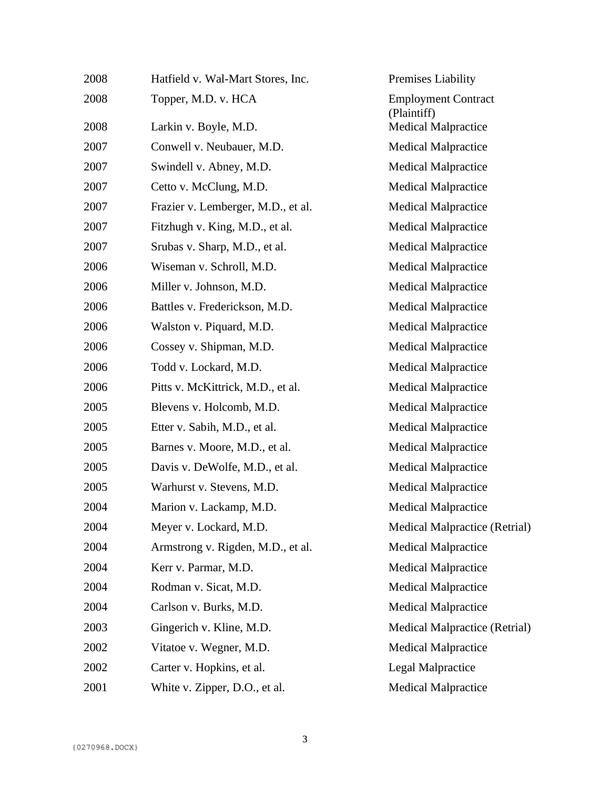| 2008 | Hatfield v. Wal-Mart Stores, Inc.  | Premises Liability                        |
|------|------------------------------------|-------------------------------------------|
| 2008 | Topper, M.D. v. HCA                | <b>Employment Contract</b><br>(Plaintiff) |
| 2008 | Larkin v. Boyle, M.D.              | <b>Medical Malpractice</b>                |
| 2007 | Conwell v. Neubauer, M.D.          | <b>Medical Malpractice</b>                |
| 2007 | Swindell v. Abney, M.D.            | <b>Medical Malpractice</b>                |
| 2007 | Cetto v. McClung, M.D.             | <b>Medical Malpractice</b>                |
| 2007 | Frazier v. Lemberger, M.D., et al. | <b>Medical Malpractice</b>                |
| 2007 | Fitzhugh v. King, M.D., et al.     | <b>Medical Malpractice</b>                |
| 2007 | Srubas v. Sharp, M.D., et al.      | <b>Medical Malpractice</b>                |
| 2006 | Wiseman v. Schroll, M.D.           | <b>Medical Malpractice</b>                |
| 2006 | Miller v. Johnson, M.D.            | <b>Medical Malpractice</b>                |
| 2006 | Battles v. Frederickson, M.D.      | <b>Medical Malpractice</b>                |
| 2006 | Walston v. Piquard, M.D.           | <b>Medical Malpractice</b>                |
| 2006 | Cossey v. Shipman, M.D.            | <b>Medical Malpractice</b>                |
| 2006 | Todd v. Lockard, M.D.              | <b>Medical Malpractice</b>                |
| 2006 | Pitts v. McKittrick, M.D., et al.  | <b>Medical Malpractice</b>                |
| 2005 | Blevens v. Holcomb, M.D.           | <b>Medical Malpractice</b>                |
| 2005 | Etter v. Sabih, M.D., et al.       | <b>Medical Malpractice</b>                |
| 2005 | Barnes v. Moore, M.D., et al.      | <b>Medical Malpractice</b>                |
| 2005 | Davis v. DeWolfe, M.D., et al.     | <b>Medical Malpractice</b>                |
| 2005 | Warhurst v. Stevens, M.D.          | <b>Medical Malpractice</b>                |
| 2004 | Marion v. Lackamp, M.D.            | <b>Medical Malpractice</b>                |
| 2004 | Meyer v. Lockard, M.D.             | Medical Malpractice (Retrial)             |
| 2004 | Armstrong v. Rigden, M.D., et al.  | <b>Medical Malpractice</b>                |
| 2004 | Kerr v. Parmar, M.D.               | <b>Medical Malpractice</b>                |
| 2004 | Rodman v. Sicat, M.D.              | <b>Medical Malpractice</b>                |
| 2004 | Carlson v. Burks, M.D.             | <b>Medical Malpractice</b>                |
| 2003 | Gingerich v. Kline, M.D.           | <b>Medical Malpractice (Retrial)</b>      |
| 2002 | Vitatoe v. Wegner, M.D.            | <b>Medical Malpractice</b>                |
| 2002 | Carter v. Hopkins, et al.          | <b>Legal Malpractice</b>                  |
| 2001 | White v. Zipper, D.O., et al.      | <b>Medical Malpractice</b>                |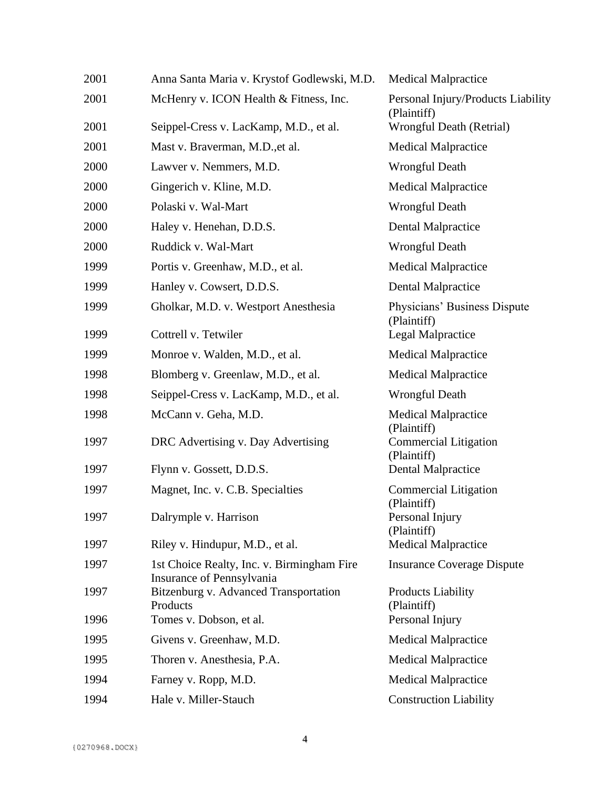| 2001 | Anna Santa Maria v. Krystof Godlewski, M.D.                             | <b>Medical Malpractice</b>                        |
|------|-------------------------------------------------------------------------|---------------------------------------------------|
| 2001 | McHenry v. ICON Health & Fitness, Inc.                                  | Personal Injury/Products Liability<br>(Plaintiff) |
| 2001 | Seippel-Cress v. LacKamp, M.D., et al.                                  | Wrongful Death (Retrial)                          |
| 2001 | Mast v. Braverman, M.D., et al.                                         | <b>Medical Malpractice</b>                        |
| 2000 | Lawver v. Nemmers, M.D.                                                 | <b>Wrongful Death</b>                             |
| 2000 | Gingerich v. Kline, M.D.                                                | <b>Medical Malpractice</b>                        |
| 2000 | Polaski v. Wal-Mart                                                     | <b>Wrongful Death</b>                             |
| 2000 | Haley v. Henehan, D.D.S.                                                | <b>Dental Malpractice</b>                         |
| 2000 | Ruddick v. Wal-Mart                                                     | <b>Wrongful Death</b>                             |
| 1999 | Portis v. Greenhaw, M.D., et al.                                        | <b>Medical Malpractice</b>                        |
| 1999 | Hanley v. Cowsert, D.D.S.                                               | <b>Dental Malpractice</b>                         |
| 1999 | Gholkar, M.D. v. Westport Anesthesia                                    | Physicians' Business Dispute<br>(Plaintiff)       |
| 1999 | Cottrell v. Tetwiler                                                    | <b>Legal Malpractice</b>                          |
| 1999 | Monroe v. Walden, M.D., et al.                                          | <b>Medical Malpractice</b>                        |
| 1998 | Blomberg v. Greenlaw, M.D., et al.                                      | <b>Medical Malpractice</b>                        |
| 1998 | Seippel-Cress v. LacKamp, M.D., et al.                                  | <b>Wrongful Death</b>                             |
| 1998 | McCann v. Geha, M.D.                                                    | <b>Medical Malpractice</b><br>(Plaintiff)         |
| 1997 | DRC Advertising v. Day Advertising                                      | <b>Commercial Litigation</b><br>(Plaintiff)       |
| 1997 | Flynn v. Gossett, D.D.S.                                                | Dental Malpractice                                |
| 1997 | Magnet, Inc. v. C.B. Specialties                                        | <b>Commercial Litigation</b><br>(Plaintiff)       |
| 1997 | Dalrymple v. Harrison                                                   | Personal Injury<br>(Plaintiff)                    |
| 1997 | Riley v. Hindupur, M.D., et al.                                         | <b>Medical Malpractice</b>                        |
| 1997 | 1st Choice Realty, Inc. v. Birmingham Fire<br>Insurance of Pennsylvania | <b>Insurance Coverage Dispute</b>                 |
| 1997 | Bitzenburg v. Advanced Transportation<br>Products                       | <b>Products Liability</b><br>(Plaintiff)          |
| 1996 | Tomes v. Dobson, et al.                                                 | Personal Injury                                   |
| 1995 | Givens v. Greenhaw, M.D.                                                | <b>Medical Malpractice</b>                        |
| 1995 | Thoren v. Anesthesia, P.A.                                              | <b>Medical Malpractice</b>                        |
| 1994 | Farney v. Ropp, M.D.                                                    | <b>Medical Malpractice</b>                        |
| 1994 | Hale v. Miller-Stauch                                                   | <b>Construction Liability</b>                     |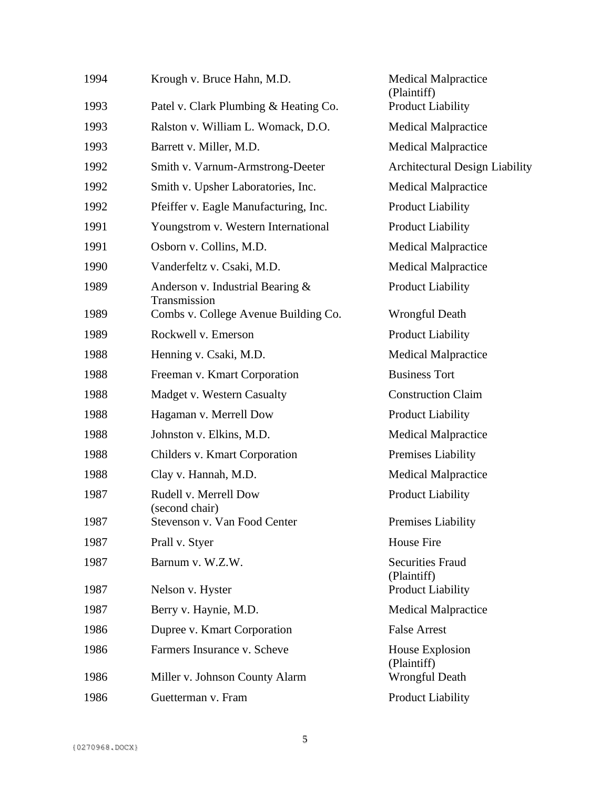| 1994 | Krough v. Bruce Hahn, M.D.                       | <b>Medical Malpractice</b><br>(Plaintiff) |
|------|--------------------------------------------------|-------------------------------------------|
| 1993 | Patel v. Clark Plumbing & Heating Co.            | <b>Product Liability</b>                  |
| 1993 | Ralston v. William L. Womack, D.O.               | <b>Medical Malpractice</b>                |
| 1993 | Barrett v. Miller, M.D.                          | <b>Medical Malpractice</b>                |
| 1992 | Smith v. Varnum-Armstrong-Deeter                 | <b>Architectural Design Liability</b>     |
| 1992 | Smith v. Upsher Laboratories, Inc.               | <b>Medical Malpractice</b>                |
| 1992 | Pfeiffer v. Eagle Manufacturing, Inc.            | <b>Product Liability</b>                  |
| 1991 | Youngstrom v. Western International              | <b>Product Liability</b>                  |
| 1991 | Osborn v. Collins, M.D.                          | <b>Medical Malpractice</b>                |
| 1990 | Vanderfeltz v. Csaki, M.D.                       | <b>Medical Malpractice</b>                |
| 1989 | Anderson v. Industrial Bearing &<br>Transmission | <b>Product Liability</b>                  |
| 1989 | Combs v. College Avenue Building Co.             | <b>Wrongful Death</b>                     |
| 1989 | Rockwell v. Emerson                              | <b>Product Liability</b>                  |
| 1988 | Henning v. Csaki, M.D.                           | <b>Medical Malpractice</b>                |
| 1988 | Freeman v. Kmart Corporation                     | <b>Business Tort</b>                      |
| 1988 | Madget v. Western Casualty                       | <b>Construction Claim</b>                 |
| 1988 | Hagaman v. Merrell Dow                           | <b>Product Liability</b>                  |
| 1988 | Johnston v. Elkins, M.D.                         | <b>Medical Malpractice</b>                |
| 1988 | Childers v. Kmart Corporation                    | Premises Liability                        |
| 1988 | Clay v. Hannah, M.D.                             | <b>Medical Malpractice</b>                |
| 1987 | Rudell v. Merrell Dow<br>(second chair)          | <b>Product Liability</b>                  |
| 1987 | Stevenson v. Van Food Center                     | Premises Liability                        |
| 1987 | Prall v. Styer                                   | <b>House Fire</b>                         |
| 1987 | Barnum v. W.Z.W.                                 | <b>Securities Fraud</b><br>(Plaintiff)    |
| 1987 | Nelson v. Hyster                                 | <b>Product Liability</b>                  |
| 1987 | Berry v. Haynie, M.D.                            | <b>Medical Malpractice</b>                |
| 1986 | Dupree v. Kmart Corporation                      | <b>False Arrest</b>                       |
| 1986 | Farmers Insurance v. Scheve                      | House Explosion<br>(Plaintiff)            |
| 1986 | Miller v. Johnson County Alarm                   | <b>Wrongful Death</b>                     |
| 1986 | Guetterman v. Fram                               | <b>Product Liability</b>                  |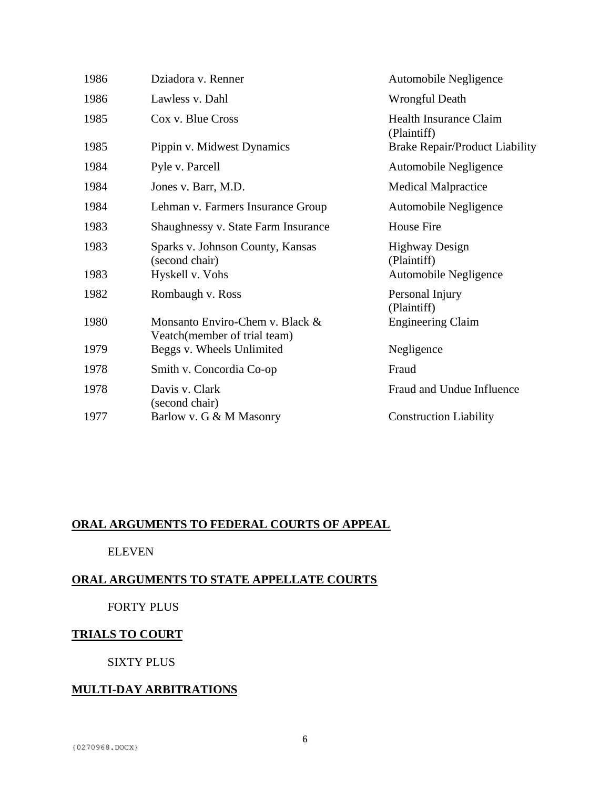| 1986 | Dziadora v. Renner                                              | Automobile Negligence                        |
|------|-----------------------------------------------------------------|----------------------------------------------|
| 1986 | Lawless v. Dahl                                                 | <b>Wrongful Death</b>                        |
| 1985 | Cox v. Blue Cross                                               | <b>Health Insurance Claim</b><br>(Plaintiff) |
| 1985 | Pippin v. Midwest Dynamics                                      | <b>Brake Repair/Product Liability</b>        |
| 1984 | Pyle v. Parcell                                                 | Automobile Negligence                        |
| 1984 | Jones v. Barr, M.D.                                             | <b>Medical Malpractice</b>                   |
| 1984 | Lehman v. Farmers Insurance Group                               | Automobile Negligence                        |
| 1983 | Shaughnessy v. State Farm Insurance                             | <b>House Fire</b>                            |
| 1983 | Sparks v. Johnson County, Kansas<br>(second chair)              | <b>Highway Design</b><br>(Plaintiff)         |
| 1983 | Hyskell v. Vohs                                                 | Automobile Negligence                        |
| 1982 | Rombaugh v. Ross                                                | Personal Injury<br>(Plaintiff)               |
| 1980 | Monsanto Enviro-Chem v. Black &<br>Veatch(member of trial team) | <b>Engineering Claim</b>                     |
| 1979 | Beggs v. Wheels Unlimited                                       | Negligence                                   |
| 1978 | Smith v. Concordia Co-op                                        | Fraud                                        |
| 1978 | Davis v. Clark<br>(second chair)                                | Fraud and Undue Influence                    |
| 1977 | Barlow v. G & M Masonry                                         | <b>Construction Liability</b>                |

# **ORAL ARGUMENTS TO FEDERAL COURTS OF APPEAL**

## ELEVEN

# **ORAL ARGUMENTS TO STATE APPELLATE COURTS**

# FORTY PLUS

# **TRIALS TO COURT**

# SIXTY PLUS

# **MULTI-DAY ARBITRATIONS**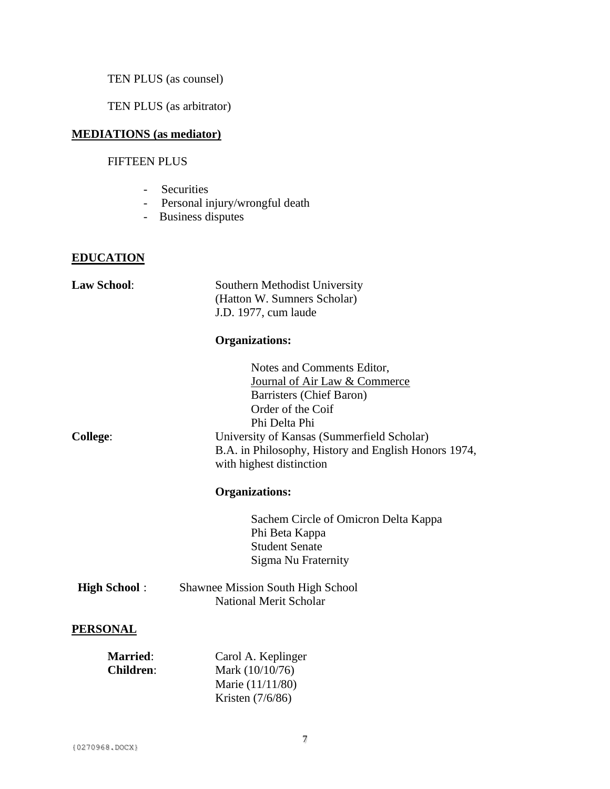TEN PLUS (as counsel)

TEN PLUS (as arbitrator)

# **MEDIATIONS (as mediator)**

# FIFTEEN PLUS

- Securities
- Personal injury/wrongful death
- Business disputes

### **EDUCATION**

| <b>Law School:</b>                  | Southern Methodist University                                                                                                                                                                                                                                   |
|-------------------------------------|-----------------------------------------------------------------------------------------------------------------------------------------------------------------------------------------------------------------------------------------------------------------|
|                                     | (Hatton W. Sumners Scholar)                                                                                                                                                                                                                                     |
|                                     | J.D. 1977, cum laude                                                                                                                                                                                                                                            |
|                                     | <b>Organizations:</b>                                                                                                                                                                                                                                           |
| <b>College:</b>                     | Notes and Comments Editor,<br>Journal of Air Law & Commerce<br>Barristers (Chief Baron)<br>Order of the Coif<br>Phi Delta Phi<br>University of Kansas (Summerfield Scholar)<br>B.A. in Philosophy, History and English Honors 1974,<br>with highest distinction |
|                                     | <b>Organizations:</b>                                                                                                                                                                                                                                           |
|                                     |                                                                                                                                                                                                                                                                 |
|                                     | Sachem Circle of Omicron Delta Kappa<br>Phi Beta Kappa<br><b>Student Senate</b><br>Sigma Nu Fraternity                                                                                                                                                          |
| <b>High School:</b>                 | <b>Shawnee Mission South High School</b><br><b>National Merit Scholar</b>                                                                                                                                                                                       |
| <b>PERSONAL</b>                     |                                                                                                                                                                                                                                                                 |
| <b>Married:</b><br><b>Children:</b> | Carol A. Keplinger<br>Mark (10/10/76)<br>Marie (11/11/80)<br>Kristen (7/6/86)                                                                                                                                                                                   |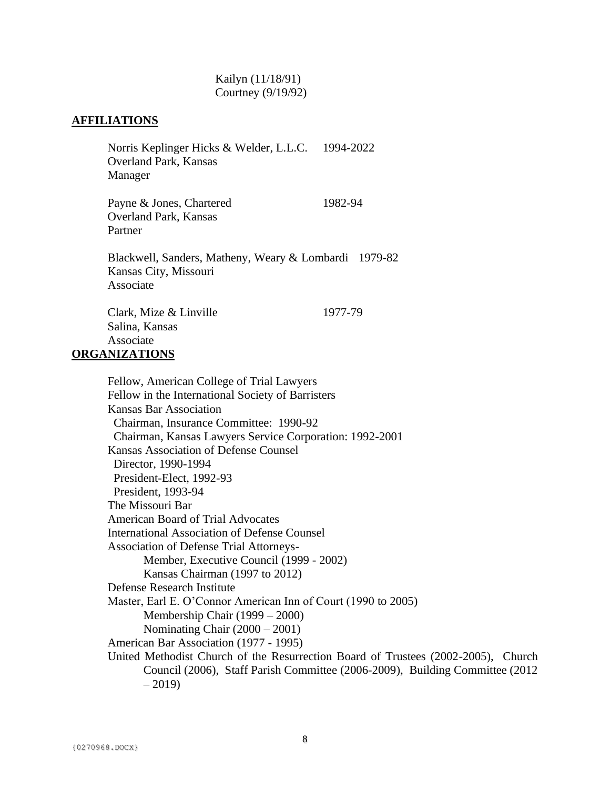#### Kailyn (11/18/91) Courtney (9/19/92)

### **AFFILIATIONS**

Norris Keplinger Hicks & Welder, L.L.C. 1994-2022 Overland Park, Kansas Manager

Payne & Jones, Chartered 1982-94 Overland Park, Kansas Partner

Blackwell, Sanders, Matheny, Weary & Lombardi 1979-82 Kansas City, Missouri Associate

Clark, Mize & Linville 1977-79 Salina, Kansas Associate

## **ORGANIZATIONS**

Fellow, American College of Trial Lawyers Fellow in the International Society of Barristers Kansas Bar Association Chairman, Insurance Committee: 1990-92 Chairman, Kansas Lawyers Service Corporation: 1992-2001 Kansas Association of Defense Counsel Director, 1990-1994 President-Elect, 1992-93 President, 1993-94 The Missouri Bar American Board of Trial Advocates International Association of Defense Counsel Association of Defense Trial Attorneys-Member, Executive Council (1999 - 2002) Kansas Chairman (1997 to 2012) Defense Research Institute Master, Earl E. O'Connor American Inn of Court (1990 to 2005) Membership Chair (1999 – 2000) Nominating Chair (2000 – 2001) American Bar Association (1977 - 1995) United Methodist Church of the Resurrection Board of Trustees (2002-2005), Church Council (2006), Staff Parish Committee (2006-2009), Building Committee (2012  $-2019$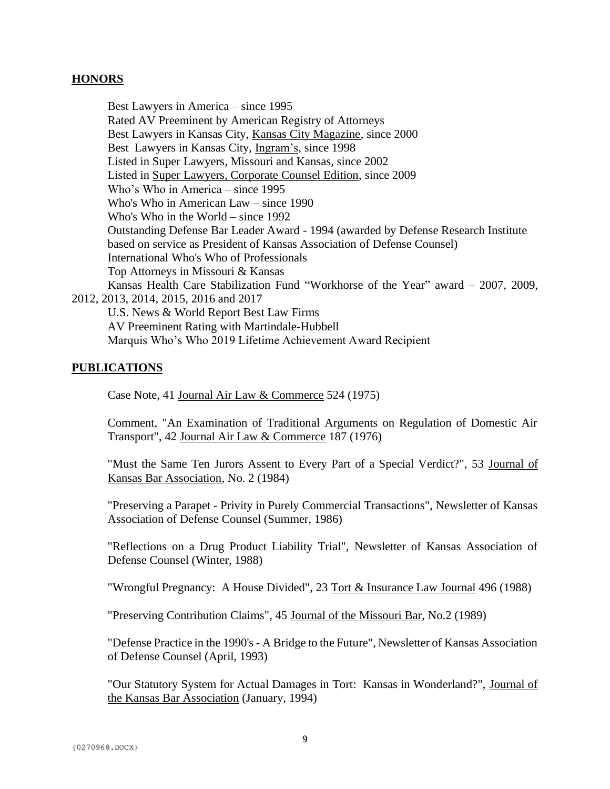### **HONORS**

Best Lawyers in America – since 1995 Rated AV Preeminent by American Registry of Attorneys Best Lawyers in Kansas City, Kansas City Magazine, since 2000 Best Lawyers in Kansas City, Ingram's, since 1998 Listed in Super Lawyers, Missouri and Kansas, since 2002 Listed in Super Lawyers, Corporate Counsel Edition, since 2009 Who's Who in America – since 1995 Who's Who in American Law – since 1990 Who's Who in the World – since 1992 Outstanding Defense Bar Leader Award - 1994 (awarded by Defense Research Institute based on service as President of Kansas Association of Defense Counsel) International Who's Who of Professionals Top Attorneys in Missouri & Kansas Kansas Health Care Stabilization Fund "Workhorse of the Year" award – 2007, 2009, 2012, 2013, 2014, 2015, 2016 and 2017 U.S. News & World Report Best Law Firms AV Preeminent Rating with Martindale-Hubbell Marquis Who's Who 2019 Lifetime Achievement Award Recipient

### **PUBLICATIONS**

Case Note, 41 Journal Air Law & Commerce 524 (1975)

Comment, "An Examination of Traditional Arguments on Regulation of Domestic Air Transport", 42 Journal Air Law & Commerce 187 (1976)

"Must the Same Ten Jurors Assent to Every Part of a Special Verdict?", 53 Journal of Kansas Bar Association, No. 2 (1984)

"Preserving a Parapet - Privity in Purely Commercial Transactions", Newsletter of Kansas Association of Defense Counsel (Summer, 1986)

"Reflections on a Drug Product Liability Trial", Newsletter of Kansas Association of Defense Counsel (Winter, 1988)

"Wrongful Pregnancy: A House Divided", 23 Tort & Insurance Law Journal 496 (1988)

"Preserving Contribution Claims", 45 Journal of the Missouri Bar, No.2 (1989)

"Defense Practice in the 1990's - A Bridge to the Future", Newsletter of Kansas Association of Defense Counsel (April, 1993)

"Our Statutory System for Actual Damages in Tort: Kansas in Wonderland?", Journal of the Kansas Bar Association (January, 1994)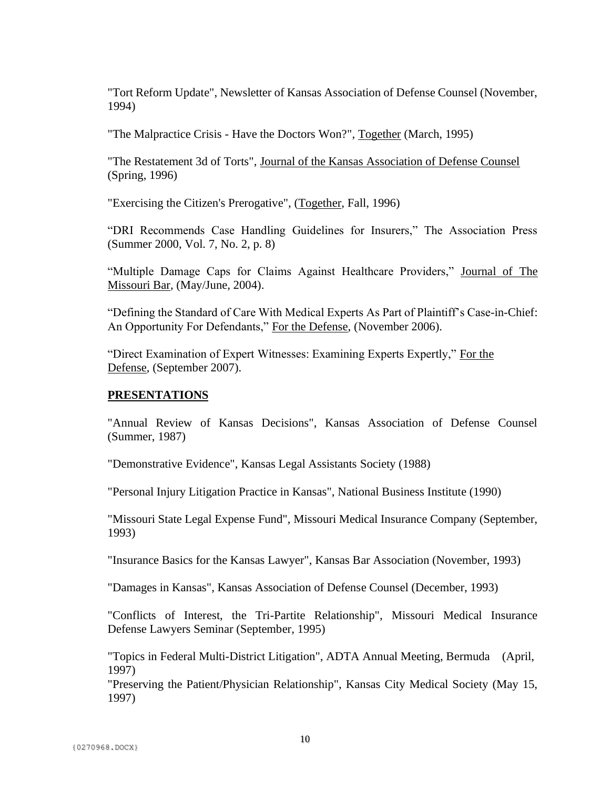"Tort Reform Update", Newsletter of Kansas Association of Defense Counsel (November, 1994)

"The Malpractice Crisis - Have the Doctors Won?", Together (March, 1995)

"The Restatement 3d of Torts", Journal of the Kansas Association of Defense Counsel (Spring, 1996)

"Exercising the Citizen's Prerogative", (Together, Fall, 1996)

"DRI Recommends Case Handling Guidelines for Insurers," The Association Press (Summer 2000, Vol. 7, No. 2, p. 8)

"Multiple Damage Caps for Claims Against Healthcare Providers," Journal of The Missouri Bar, (May/June, 2004).

"Defining the Standard of Care With Medical Experts As Part of Plaintiff's Case-in-Chief: An Opportunity For Defendants," For the Defense, (November 2006).

"Direct Examination of Expert Witnesses: Examining Experts Expertly," For the Defense, (September 2007).

### **PRESENTATIONS**

"Annual Review of Kansas Decisions", Kansas Association of Defense Counsel (Summer, 1987)

"Demonstrative Evidence", Kansas Legal Assistants Society (1988)

"Personal Injury Litigation Practice in Kansas", National Business Institute (1990)

"Missouri State Legal Expense Fund", Missouri Medical Insurance Company (September, 1993)

"Insurance Basics for the Kansas Lawyer", Kansas Bar Association (November, 1993)

"Damages in Kansas", Kansas Association of Defense Counsel (December, 1993)

"Conflicts of Interest, the Tri-Partite Relationship", Missouri Medical Insurance Defense Lawyers Seminar (September, 1995)

"Topics in Federal Multi-District Litigation", ADTA Annual Meeting, Bermuda (April, 1997)

"Preserving the Patient/Physician Relationship", Kansas City Medical Society (May 15, 1997)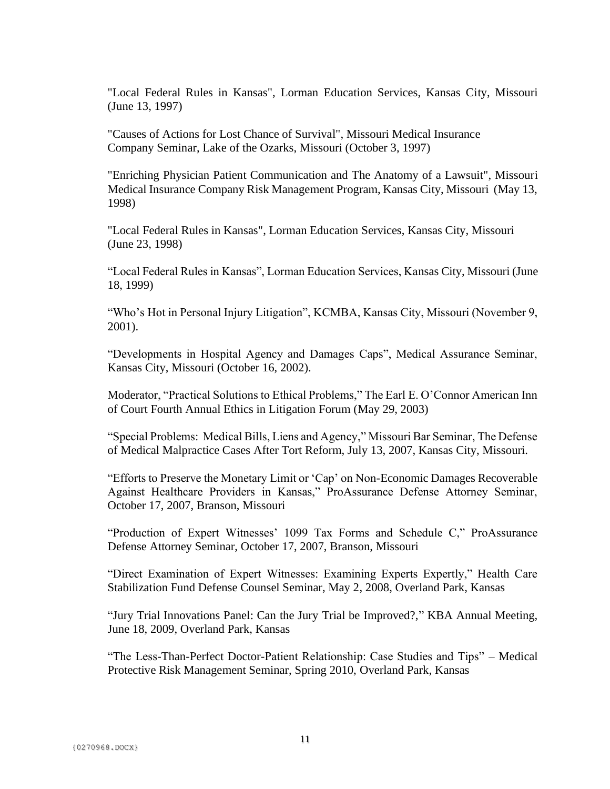"Local Federal Rules in Kansas", Lorman Education Services, Kansas City, Missouri (June 13, 1997)

"Causes of Actions for Lost Chance of Survival", Missouri Medical Insurance Company Seminar, Lake of the Ozarks, Missouri (October 3, 1997)

"Enriching Physician Patient Communication and The Anatomy of a Lawsuit", Missouri Medical Insurance Company Risk Management Program, Kansas City, Missouri (May 13, 1998)

"Local Federal Rules in Kansas", Lorman Education Services, Kansas City, Missouri (June 23, 1998)

"Local Federal Rules in Kansas", Lorman Education Services, Kansas City, Missouri (June 18, 1999)

"Who's Hot in Personal Injury Litigation", KCMBA, Kansas City, Missouri (November 9, 2001).

"Developments in Hospital Agency and Damages Caps", Medical Assurance Seminar, Kansas City, Missouri (October 16, 2002).

Moderator, "Practical Solutions to Ethical Problems," The Earl E. O'Connor American Inn of Court Fourth Annual Ethics in Litigation Forum (May 29, 2003)

"Special Problems: Medical Bills, Liens and Agency," Missouri Bar Seminar, The Defense of Medical Malpractice Cases After Tort Reform, July 13, 2007, Kansas City, Missouri.

"Efforts to Preserve the Monetary Limit or 'Cap' on Non-Economic Damages Recoverable Against Healthcare Providers in Kansas," ProAssurance Defense Attorney Seminar, October 17, 2007, Branson, Missouri

"Production of Expert Witnesses' 1099 Tax Forms and Schedule C," ProAssurance Defense Attorney Seminar, October 17, 2007, Branson, Missouri

"Direct Examination of Expert Witnesses: Examining Experts Expertly," Health Care Stabilization Fund Defense Counsel Seminar, May 2, 2008, Overland Park, Kansas

"Jury Trial Innovations Panel: Can the Jury Trial be Improved?," KBA Annual Meeting, June 18, 2009, Overland Park, Kansas

"The Less-Than-Perfect Doctor-Patient Relationship: Case Studies and Tips" – Medical Protective Risk Management Seminar, Spring 2010, Overland Park, Kansas